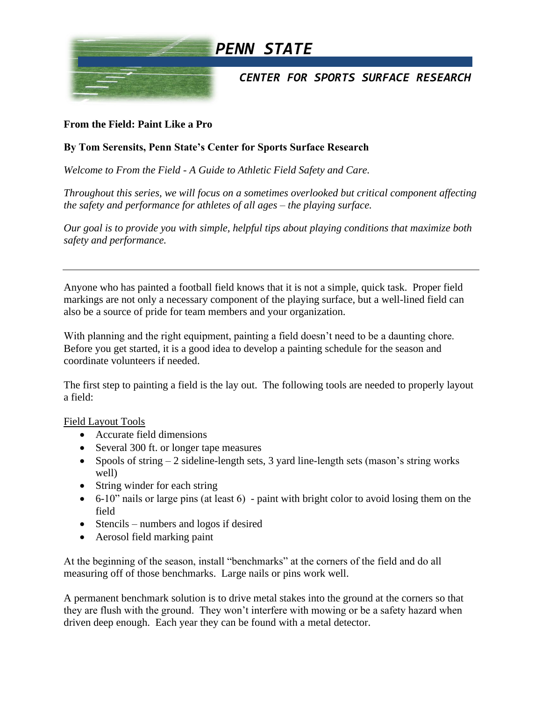

## **From the Field: Paint Like a Pro**

## **By Tom Serensits, Penn State's Center for Sports Surface Research**

*Welcome to From the Field - A Guide to Athletic Field Safety and Care.* 

*Throughout this series, we will focus on a sometimes overlooked but critical component affecting the safety and performance for athletes of all ages – the playing surface.*

*Our goal is to provide you with simple, helpful tips about playing conditions that maximize both safety and performance.* 

Anyone who has painted a football field knows that it is not a simple, quick task. Proper field markings are not only a necessary component of the playing surface, but a well-lined field can also be a source of pride for team members and your organization.

With planning and the right equipment, painting a field doesn't need to be a daunting chore. Before you get started, it is a good idea to develop a painting schedule for the season and coordinate volunteers if needed.

The first step to painting a field is the lay out. The following tools are needed to properly layout a field:

## Field Layout Tools

- Accurate field dimensions
- Several 300 ft. or longer tape measures
- Spools of string  $-2$  sideline-length sets, 3 yard line-length sets (mason's string works well)
- String winder for each string
- 6-10" nails or large pins (at least 6) paint with bright color to avoid losing them on the field
- Stencils numbers and logos if desired
- Aerosol field marking paint

At the beginning of the season, install "benchmarks" at the corners of the field and do all measuring off of those benchmarks. Large nails or pins work well.

A permanent benchmark solution is to drive metal stakes into the ground at the corners so that they are flush with the ground. They won't interfere with mowing or be a safety hazard when driven deep enough. Each year they can be found with a metal detector.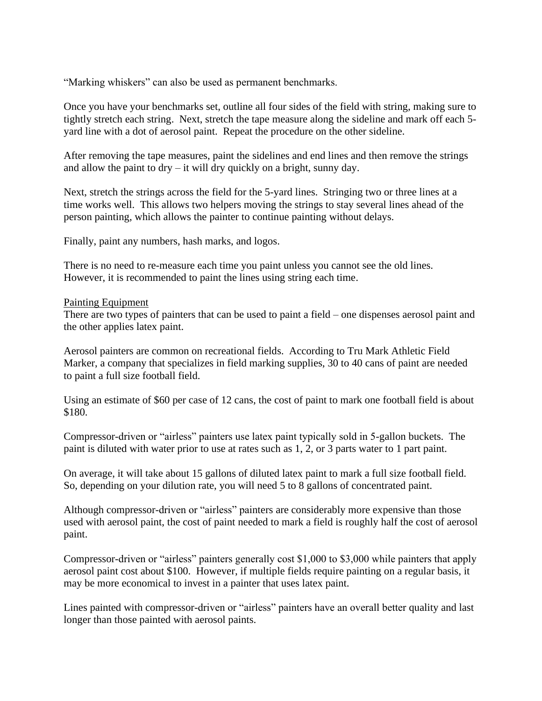"Marking whiskers" can also be used as permanent benchmarks.

Once you have your benchmarks set, outline all four sides of the field with string, making sure to tightly stretch each string. Next, stretch the tape measure along the sideline and mark off each 5 yard line with a dot of aerosol paint. Repeat the procedure on the other sideline.

After removing the tape measures, paint the sidelines and end lines and then remove the strings and allow the paint to  $\frac{dr}{dt} - it$  will dry quickly on a bright, sunny day.

Next, stretch the strings across the field for the 5-yard lines. Stringing two or three lines at a time works well. This allows two helpers moving the strings to stay several lines ahead of the person painting, which allows the painter to continue painting without delays.

Finally, paint any numbers, hash marks, and logos.

There is no need to re-measure each time you paint unless you cannot see the old lines. However, it is recommended to paint the lines using string each time.

## Painting Equipment

There are two types of painters that can be used to paint a field – one dispenses aerosol paint and the other applies latex paint.

Aerosol painters are common on recreational fields. According to Tru Mark Athletic Field Marker, a company that specializes in field marking supplies, 30 to 40 cans of paint are needed to paint a full size football field.

Using an estimate of \$60 per case of 12 cans, the cost of paint to mark one football field is about \$180.

Compressor-driven or "airless" painters use latex paint typically sold in 5-gallon buckets. The paint is diluted with water prior to use at rates such as 1, 2, or 3 parts water to 1 part paint.

On average, it will take about 15 gallons of diluted latex paint to mark a full size football field. So, depending on your dilution rate, you will need 5 to 8 gallons of concentrated paint.

Although compressor-driven or "airless" painters are considerably more expensive than those used with aerosol paint, the cost of paint needed to mark a field is roughly half the cost of aerosol paint.

Compressor-driven or "airless" painters generally cost \$1,000 to \$3,000 while painters that apply aerosol paint cost about \$100. However, if multiple fields require painting on a regular basis, it may be more economical to invest in a painter that uses latex paint.

Lines painted with compressor-driven or "airless" painters have an overall better quality and last longer than those painted with aerosol paints.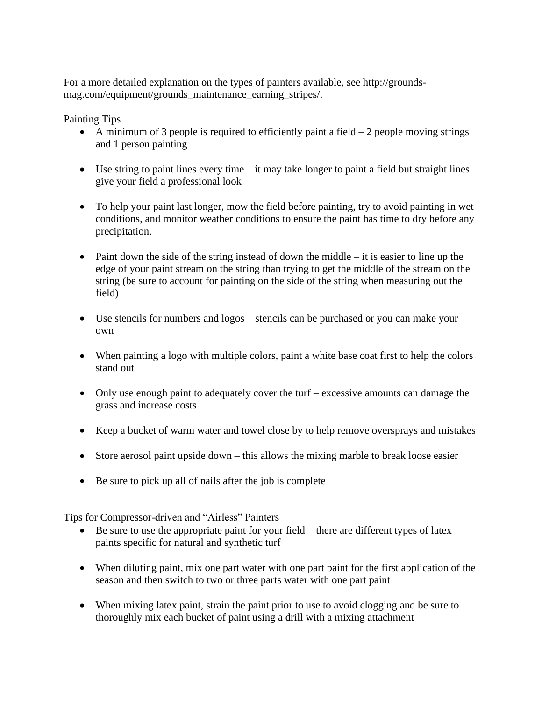For a more detailed explanation on the types of painters available, see http://groundsmag.com/equipment/grounds\_maintenance\_earning\_stripes/.

Painting Tips

- A minimum of 3 people is required to efficiently paint a field  $-2$  people moving strings and 1 person painting
- Use string to paint lines every time  $-$  it may take longer to paint a field but straight lines give your field a professional look
- To help your paint last longer, mow the field before painting, try to avoid painting in wet conditions, and monitor weather conditions to ensure the paint has time to dry before any precipitation.
- Paint down the side of the string instead of down the middle  $-$  it is easier to line up the edge of your paint stream on the string than trying to get the middle of the stream on the string (be sure to account for painting on the side of the string when measuring out the field)
- Use stencils for numbers and logos stencils can be purchased or you can make your own
- When painting a logo with multiple colors, paint a white base coat first to help the colors stand out
- Only use enough paint to adequately cover the turf excessive amounts can damage the grass and increase costs
- Keep a bucket of warm water and towel close by to help remove oversprays and mistakes
- Store aerosol paint upside down this allows the mixing marble to break loose easier
- Be sure to pick up all of nails after the job is complete

Tips for Compressor-driven and "Airless" Painters

- Be sure to use the appropriate paint for your field there are different types of latex paints specific for natural and synthetic turf
- When diluting paint, mix one part water with one part paint for the first application of the season and then switch to two or three parts water with one part paint
- When mixing latex paint, strain the paint prior to use to avoid clogging and be sure to thoroughly mix each bucket of paint using a drill with a mixing attachment